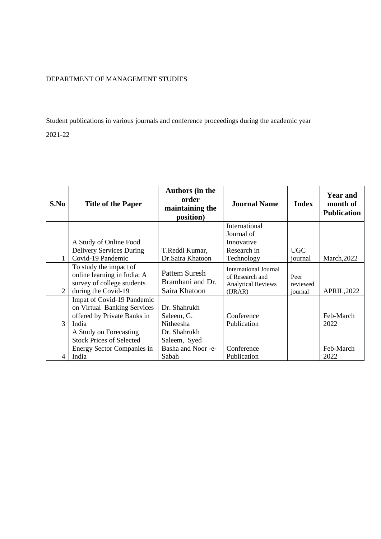## DEPARTMENT OF MANAGEMENT STUDIES

Student publications in various journals and conference proceedings during the academic year 2021-22

**S.No Title of the Paper Authors (in the order maintaining the position) Journal Name Index Year and month of Publication** 1 A Study of Online Food Delivery Services During Covid-19 Pandemic T.Reddi Kumar, Dr.Saira Khatoon International Journal of Innovative Research in Technology UGC journal March,2022 2 To study the impact of online learning in India: A survey of college students during the Covid-19 Pattem Suresh Bramhani and Dr. Saira Khatoon International Journal of Research and Analytical Reviews (IJRAR) Peer reviewed<br>journal APRIL,2022 3 Impat of Covid-19 Pandemic on Virtual Banking Services offered by Private Banks in India Dr. Shahrukh Saleem, G. Nitheesha Conference Publication Feb-March 2022 4 A Study on Forecasting Stock Prices of Selected Energy Sector Companies in India Dr. Shahrukh Saleem, Syed Basha and Noor -e-Sabah Conference Publication Feb-March 2022